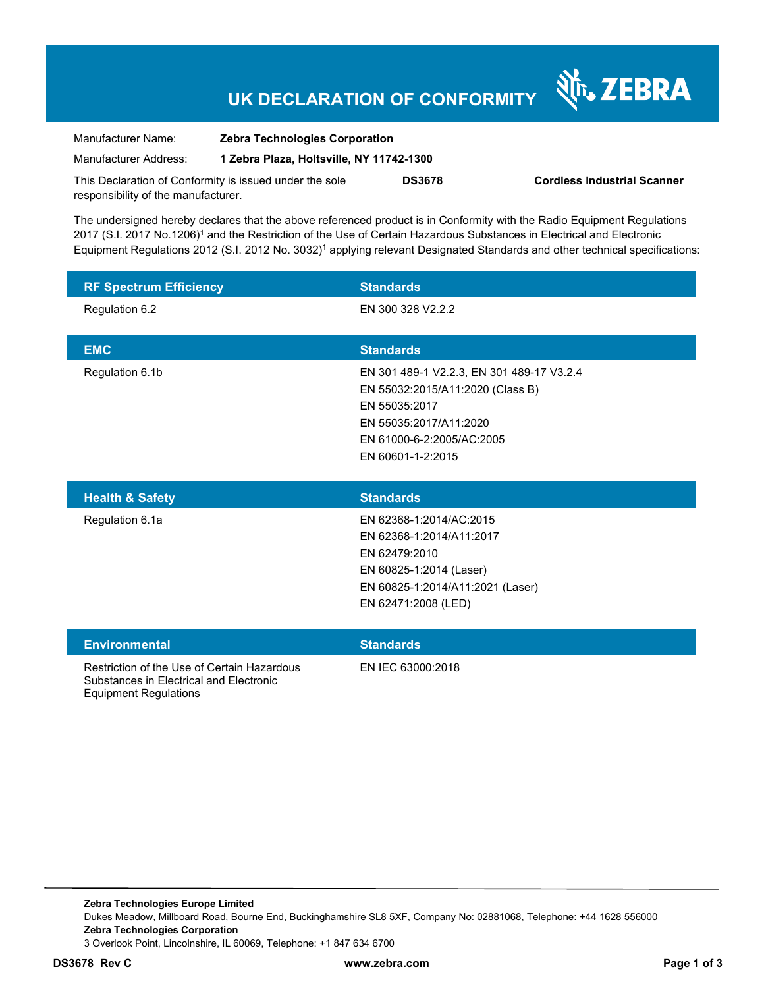## **UK DECLARATION OF CONFORMITY**

Nr. ZEBRA

| Manufacturer Name:                                      | <b>Zebra Technologies Corporation</b>    |               |                                    |
|---------------------------------------------------------|------------------------------------------|---------------|------------------------------------|
| Manufacturer Address:                                   | 1 Zebra Plaza, Holtsville, NY 11742-1300 |               |                                    |
| This Declaration of Conformity is issued under the sole |                                          | <b>DS3678</b> | <b>Cordless Industrial Scanner</b> |
| responsibility of the manufacturer.                     |                                          |               |                                    |

The undersigned hereby declares that the above referenced product is in Conformity with the Radio Equipment Regulations 2017 (S.I. 2017 No.1206)<sup>1</sup> and the Restriction of the Use of Certain Hazardous Substances in Electrical and Electronic Equipment Regulations 2012 (S.I. 2012 No. 3032)<sup>1</sup> applying relevant Designated Standards and other technical specifications:

| <b>RF Spectrum Efficiency</b> | <b>Standards</b>                                                                               |
|-------------------------------|------------------------------------------------------------------------------------------------|
| Regulation 6.2                | EN 300 328 V2.2.2                                                                              |
|                               |                                                                                                |
| <b>EMC</b>                    | <b>Standards</b>                                                                               |
| Regulation 6.1b               | EN 301 489-1 V2.2.3, EN 301 489-17 V3.2.4<br>EN 55032:2015/A11:2020 (Class B)<br>EN 55035:2017 |
|                               | EN 55035:2017/A11:2020                                                                         |
|                               | EN 61000-6-2:2005/AC:2005                                                                      |
|                               | EN 60601-1-2:2015                                                                              |
| <b>Health &amp; Safety</b>    | <b>Standards</b>                                                                               |

| <b>Health &amp; Safety</b> | <b>Standards</b>                 |  |
|----------------------------|----------------------------------|--|
| Regulation 6.1a            | EN 62368-1:2014/AC:2015          |  |
|                            | EN 62368-1:2014/A11:2017         |  |
|                            | EN 62479:2010                    |  |
|                            | EN 60825-1:2014 (Laser)          |  |
|                            | EN 60825-1:2014/A11:2021 (Laser) |  |
|                            | EN 62471:2008 (LED)              |  |
|                            |                                  |  |

| <b>Environmental</b>                                                                                                   | <b>Standards</b>  |
|------------------------------------------------------------------------------------------------------------------------|-------------------|
| Restriction of the Use of Certain Hazardous<br>Substances in Electrical and Electronic<br><b>Equipment Regulations</b> | EN IEC 63000:2018 |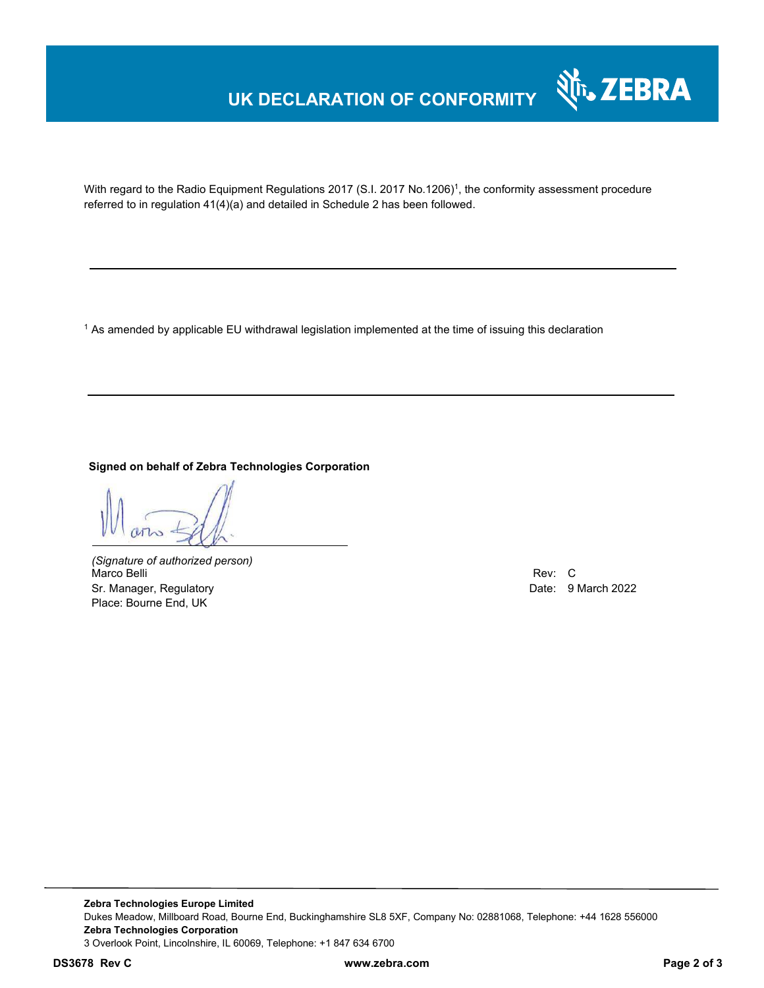### **UK DECLARATION OF CONFORMITY**



With regard to the Radio Equipment Regulations 2017 (S.I. 2017 No.1206)<sup>1</sup>, the conformity assessment procedure referred to in regulation 41(4)(a) and detailed in Schedule 2 has been followed.

1 As amended by applicable EU withdrawal legislation implemented at the time of issuing this declaration

**Signed on behalf of Zebra Technologies Corporation** 

*(Signature of authorized person)* Marco Belli Rev: Communication of the Communication of the Communication of the Communication of the Communication of the Communication of the Communication of the Communication of the Communication of the Communication of Sr. Manager, Regulatory Date: 9 March 2022 Place: Bourne End, UK